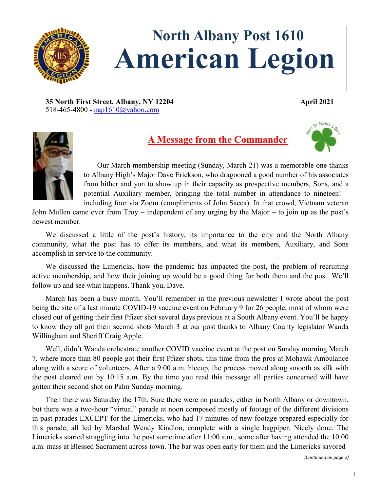

# **North Albany Post 1610 American Legion**

**35 North First Street, Albany, NY 12204 April 2021** 518-465-4800 **-** [nap1610@yahoo.com](mailto:nap1610@yahoo.com)



# **A Message from the Commander**



Our March membership meeting (Sunday, March 21) was a memorable one thanks to Albany High's Major Dave Erickson, who dragooned a good number of his associates from hither and yon to show up in their capacity as prospective members, Sons, and a potential Auxiliary member, bringing the total number in attendance to nineteen! – including four via Zoom (compliments of John Sacca). In that crowd, Vietnam veteran

John Mullen came over from Troy – independent of any urging by the Major – to join up as the post's newest member.

We discussed a little of the post's history, its importance to the city and the North Albany community, what the post has to offer its members, and what its members, Auxiliary, and Sons accomplish in service to the community.

We discussed the Limericks, how the pandemic has impacted the post, the problem of recruiting active membership, and how their joining up would be a good thing for both them and the post. We'll follow up and see what happens. Thank you, Dave.

March has been a busy month. You'll remember in the previous newsletter I wrote about the post being the site of a last minute COVID-19 vaccine event on February 9 for 26 people, most of whom were closed out of getting their first Pfizer shot several days previous at a South Albany event. You'll be happy to know they all got their second shots March 3 at our post thanks to Albany County legislator Wanda Willingham and Sheriff Craig Apple.

Well, didn't Wanda orchestrate another COVID vaccine event at the post on Sunday morning March 7, where more than 80 people got their first Pfizer shots, this time from the pros at Mohawk Ambulance along with a score of volunteers. After a 9:00 a.m. hiccup, the process moved along smooth as silk with the post cleared out by 10:15 a.m. By the time you read this message all parties concerned will have gotten their second shot on Palm Sunday morning.

Then there was Saturday the 17th. Sure there were no parades, either in North Albany or downtown, but there was a two-hour "virtual" parade at noon composed mostly of footage of the different divisions in past parades EXCEPT for the Limericks, who had 17 minutes of new footage prepared especially for this parade, all led by Marshal Wendy Kindlon, complete with a single bagpiper. Nicely done. The Limericks started straggling into the post sometime after 11:00 a.m., some after having attended the 10:00 a.m. mass at Blessed Sacrament across town. The bar was open early for them and the Limericks savored

*(Continued on page 2)*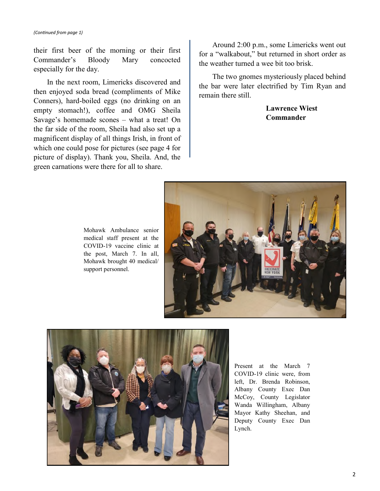their first beer of the morning or their first Commander's Bloody Mary concocted especially for the day.

In the next room, Limericks discovered and then enjoyed soda bread (compliments of Mike Conners), hard-boiled eggs (no drinking on an empty stomach!), coffee and OMG Sheila Savage's homemade scones – what a treat! On the far side of the room, Sheila had also set up a magnificent display of all things Irish, in front of which one could pose for pictures (see page 4 for picture of display). Thank you, Sheila. And, the green carnations were there for all to share.

Around 2:00 p.m., some Limericks went out for a "walkabout," but returned in short order as the weather turned a wee bit too brisk.

The two gnomes mysteriously placed behind the bar were later electrified by Tim Ryan and remain there still.

> **Lawrence Wiest Commander**



Mohawk Ambulance senior medical staff present at the COVID-19 vaccine clinic at the post, March 7. In all, Mohawk brought 40 medical/ support personnel.



Present at the March 7 COVID-19 clinic were, from left, Dr. Brenda Robinson, Albany County Exec Dan McCoy, County Legislator Wanda Willingham, Albany Mayor Kathy Sheehan, and Deputy County Exec Dan Lynch.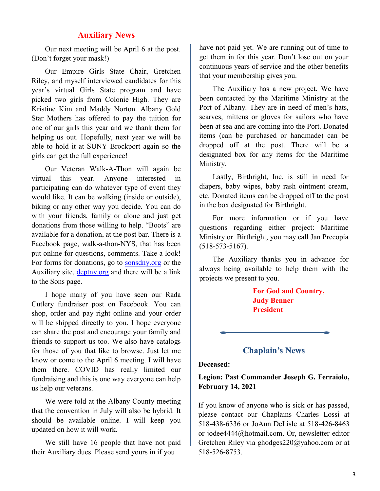## **Auxiliary News**

Our next meeting will be April 6 at the post. (Don't forget your mask!)

Our Empire Girls State Chair, Gretchen Riley, and myself interviewed candidates for this year's virtual Girls State program and have picked two girls from Colonie High. They are Kristine Kim and Maddy Norton. Albany Gold Star Mothers has offered to pay the tuition for one of our girls this year and we thank them for helping us out. Hopefully, next year we will be able to hold it at SUNY Brockport again so the girls can get the full experience!

Our Veteran Walk-A-Thon will again be virtual this year. Anyone interested in participating can do whatever type of event they would like. It can be walking (inside or outside), biking or any other way you decide. You can do with your friends, family or alone and just get donations from those willing to help. "Boots" are available for a donation, at the post bar. There is a Facebook page, walk-a-thon-NYS, that has been put online for questions, comments. Take a look! For forms for donations, go to [sonsdny.org](https://sonsdny.org/) or the Auxiliary site, [deptny.org](https://www.deptny.org/) and there will be a link to the Sons page.

I hope many of you have seen our Rada Cutlery fundraiser post on Facebook. You can shop, order and pay right online and your order will be shipped directly to you. I hope everyone can share the post and encourage your family and friends to support us too. We also have catalogs for those of you that like to browse. Just let me know or come to the April 6 meeting. I will have them there. COVID has really limited our fundraising and this is one way everyone can help us help our veterans.

We were told at the Albany County meeting that the convention in July will also be hybrid. It should be available online. I will keep you updated on how it will work.

We still have 16 people that have not paid their Auxiliary dues. Please send yours in if you

have not paid yet. We are running out of time to get them in for this year. Don't lose out on your continuous years of service and the other benefits that your membership gives you.

The Auxiliary has a new project. We have been contacted by the Maritime Ministry at the Port of Albany. They are in need of men's hats, scarves, mittens or gloves for sailors who have been at sea and are coming into the Port. Donated items (can be purchased or handmade) can be dropped off at the post. There will be a designated box for any items for the Maritime Ministry.

Lastly, Birthright, Inc. is still in need for diapers, baby wipes, baby rash ointment cream, etc. Donated items can be dropped off to the post in the box designated for Birthright.

For more information or if you have questions regarding either project: Maritime Ministry or Birthright, you may call Jan Precopia (518-573-5167).

The Auxiliary thanks you in advance for always being available to help them with the projects we present to you.

> **For God and Country, Judy Benner President**

**Chaplain's News**

#### **Deceased:**

### **Legion: Past Commander Joseph G. Ferraiolo, February 14, 2021**

If you know of anyone who is sick or has passed, please contact our Chaplains Charles Lossi at 518-438-6336 or JoAnn DeLisle at 518-426-8463 or jodee4444@hotmail.com. Or, newsletter editor Gretchen Riley via ghodges220@yahoo.com or at 518-526-8753.